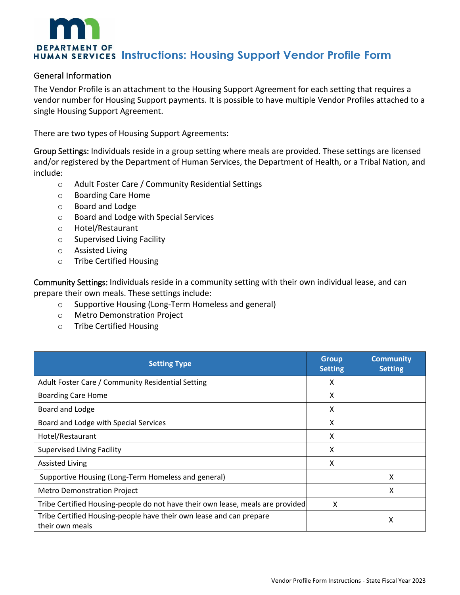# **DEPARTMENT OF HUMAN SERVICES Instructions: Housing Support Vendor Profile Form**

#### General Information

The Vendor Profile is an attachment to the Housing Support Agreement for each setting that requires a vendor number for Housing Support payments. It is possible to have multiple Vendor Profiles attached to a single Housing Support Agreement.

There are two types of Housing Support Agreements:

Group Settings: Individuals reside in a group setting where meals are provided. These settings are licensed and/or registered by the Department of Human Services, the Department of Health, or a Tribal Nation, and include:

- o Adult Foster Care / Community Residential Settings
- o Boarding Care Home
- o Board and Lodge
- o Board and Lodge with Special Services
- o Hotel/Restaurant
- o Supervised Living Facility
- o Assisted Living
- o Tribe Certified Housing

Community Settings: Individuals reside in a community setting with their own individual lease, and can prepare their own meals. These settings include:

- o Supportive Housing (Long-Term Homeless and general)
- o Metro Demonstration Project
- o Tribe Certified Housing

| <b>Setting Type</b>                                                                    | <b>Group</b><br><b>Setting</b> | <b>Community</b><br><b>Setting</b> |
|----------------------------------------------------------------------------------------|--------------------------------|------------------------------------|
| Adult Foster Care / Community Residential Setting                                      | X                              |                                    |
| <b>Boarding Care Home</b>                                                              | X                              |                                    |
| Board and Lodge                                                                        | X                              |                                    |
| Board and Lodge with Special Services                                                  | X                              |                                    |
| Hotel/Restaurant                                                                       | x                              |                                    |
| <b>Supervised Living Facility</b>                                                      | X                              |                                    |
| <b>Assisted Living</b>                                                                 | X                              |                                    |
| Supportive Housing (Long-Term Homeless and general)                                    |                                | X                                  |
| <b>Metro Demonstration Project</b>                                                     |                                | χ                                  |
| Tribe Certified Housing-people do not have their own lease, meals are provided         | X                              |                                    |
| Tribe Certified Housing-people have their own lease and can prepare<br>their own meals |                                | х                                  |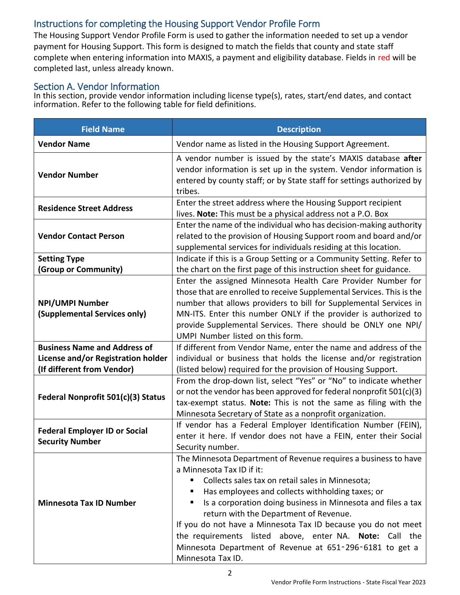## Instructions for completing the Housing Support Vendor Profile Form

The Housing Support Vendor Profile Form is used to gather the information needed to set up a vendor payment for Housing Support. This form is designed to match the fields that county and state staff complete when entering information into MAXIS, a payment and eligibility database. Fields in red will be completed last, unless already known.

### Section A. Vendor Information

In this section, provide vendor information including license type(s), rates, start/end dates, and contact information. Refer to the following table for field definitions.

| <b>Field Name</b>                                              | <b>Description</b>                                                                                                                                                                                                                                                                                                                                                                                                                                                                                                          |
|----------------------------------------------------------------|-----------------------------------------------------------------------------------------------------------------------------------------------------------------------------------------------------------------------------------------------------------------------------------------------------------------------------------------------------------------------------------------------------------------------------------------------------------------------------------------------------------------------------|
| <b>Vendor Name</b>                                             | Vendor name as listed in the Housing Support Agreement.                                                                                                                                                                                                                                                                                                                                                                                                                                                                     |
| <b>Vendor Number</b>                                           | A vendor number is issued by the state's MAXIS database after<br>vendor information is set up in the system. Vendor information is<br>entered by county staff; or by State staff for settings authorized by<br>tribes.                                                                                                                                                                                                                                                                                                      |
| <b>Residence Street Address</b>                                | Enter the street address where the Housing Support recipient<br>lives. Note: This must be a physical address not a P.O. Box                                                                                                                                                                                                                                                                                                                                                                                                 |
| <b>Vendor Contact Person</b>                                   | Enter the name of the individual who has decision-making authority<br>related to the provision of Housing Support room and board and/or<br>supplemental services for individuals residing at this location.                                                                                                                                                                                                                                                                                                                 |
| <b>Setting Type</b>                                            | Indicate if this is a Group Setting or a Community Setting. Refer to                                                                                                                                                                                                                                                                                                                                                                                                                                                        |
| (Group or Community)                                           | the chart on the first page of this instruction sheet for guidance.                                                                                                                                                                                                                                                                                                                                                                                                                                                         |
| <b>NPI/UMPI Number</b><br>(Supplemental Services only)         | Enter the assigned Minnesota Health Care Provider Number for<br>those that are enrolled to receive Supplemental Services. This is the<br>number that allows providers to bill for Supplemental Services in<br>MN-ITS. Enter this number ONLY if the provider is authorized to<br>provide Supplemental Services. There should be ONLY one NPI/<br>UMPI Number listed on this form.                                                                                                                                           |
| <b>Business Name and Address of</b>                            | If different from Vendor Name, enter the name and address of the                                                                                                                                                                                                                                                                                                                                                                                                                                                            |
| License and/or Registration holder                             | individual or business that holds the license and/or registration                                                                                                                                                                                                                                                                                                                                                                                                                                                           |
| (If different from Vendor)                                     | (listed below) required for the provision of Housing Support.                                                                                                                                                                                                                                                                                                                                                                                                                                                               |
| Federal Nonprofit 501(c)(3) Status                             | From the drop-down list, select "Yes" or "No" to indicate whether<br>or not the vendor has been approved for federal nonprofit 501(c)(3)<br>tax-exempt status. Note: This is not the same as filing with the<br>Minnesota Secretary of State as a nonprofit organization.                                                                                                                                                                                                                                                   |
| <b>Federal Employer ID or Social</b><br><b>Security Number</b> | If vendor has a Federal Employer Identification Number (FEIN),<br>enter it here. If vendor does not have a FEIN, enter their Social<br>Security number.                                                                                                                                                                                                                                                                                                                                                                     |
| <b>Minnesota Tax ID Number</b>                                 | The Minnesota Department of Revenue requires a business to have<br>a Minnesota Tax ID if it:<br>Collects sales tax on retail sales in Minnesota;<br>Has employees and collects withholding taxes; or<br>Is a corporation doing business in Minnesota and files a tax<br>return with the Department of Revenue.<br>If you do not have a Minnesota Tax ID because you do not meet<br>the requirements listed above, enter NA. Note: Call the<br>Minnesota Department of Revenue at 651-296-6181 to get a<br>Minnesota Tax ID. |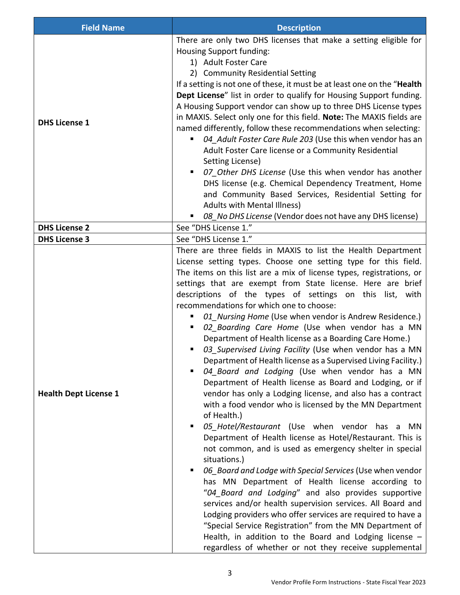| <b>Field Name</b>            | <b>Description</b>                                                                                                                                                                                                                                                                                                                                                                                                                                                                                                                                                                                                                                                                                                                                                                                                                                                                                                                                                                                                                                                                                                                                                                                                                                                                                                                                                                                                                                                                                                                                                                                                            |
|------------------------------|-------------------------------------------------------------------------------------------------------------------------------------------------------------------------------------------------------------------------------------------------------------------------------------------------------------------------------------------------------------------------------------------------------------------------------------------------------------------------------------------------------------------------------------------------------------------------------------------------------------------------------------------------------------------------------------------------------------------------------------------------------------------------------------------------------------------------------------------------------------------------------------------------------------------------------------------------------------------------------------------------------------------------------------------------------------------------------------------------------------------------------------------------------------------------------------------------------------------------------------------------------------------------------------------------------------------------------------------------------------------------------------------------------------------------------------------------------------------------------------------------------------------------------------------------------------------------------------------------------------------------------|
| <b>DHS License 1</b>         | There are only two DHS licenses that make a setting eligible for<br>Housing Support funding:<br>1) Adult Foster Care<br>2) Community Residential Setting<br>If a setting is not one of these, it must be at least one on the "Health<br>Dept License" list in order to qualify for Housing Support funding.<br>A Housing Support vendor can show up to three DHS License types<br>in MAXIS. Select only one for this field. Note: The MAXIS fields are<br>named differently, follow these recommendations when selecting:<br>04 Adult Foster Care Rule 203 (Use this when vendor has an<br>Adult Foster Care license or a Community Residential<br>Setting License)<br>07 Other DHS License (Use this when vendor has another<br>DHS license (e.g. Chemical Dependency Treatment, Home<br>and Community Based Services, Residential Setting for<br>Adults with Mental Illness)<br>08 No DHS License (Vendor does not have any DHS license)                                                                                                                                                                                                                                                                                                                                                                                                                                                                                                                                                                                                                                                                                    |
| <b>DHS License 2</b>         | See "DHS License 1."                                                                                                                                                                                                                                                                                                                                                                                                                                                                                                                                                                                                                                                                                                                                                                                                                                                                                                                                                                                                                                                                                                                                                                                                                                                                                                                                                                                                                                                                                                                                                                                                          |
| <b>DHS License 3</b>         | See "DHS License 1."                                                                                                                                                                                                                                                                                                                                                                                                                                                                                                                                                                                                                                                                                                                                                                                                                                                                                                                                                                                                                                                                                                                                                                                                                                                                                                                                                                                                                                                                                                                                                                                                          |
| <b>Health Dept License 1</b> | There are three fields in MAXIS to list the Health Department<br>License setting types. Choose one setting type for this field.<br>The items on this list are a mix of license types, registrations, or<br>settings that are exempt from State license. Here are brief<br>descriptions of the types of settings on this list, with<br>recommendations for which one to choose:<br>01 Nursing Home (Use when vendor is Andrew Residence.)<br>٠<br>02_Boarding Care Home (Use when vendor has a MN<br>Department of Health license as a Boarding Care Home.)<br>03 Supervised Living Facility (Use when vendor has a MN<br>Department of Health license as a Supervised Living Facility.)<br>04_Board and Lodging (Use when vendor has a MN<br>Department of Health license as Board and Lodging, or if<br>vendor has only a Lodging license, and also has a contract<br>with a food vendor who is licensed by the MN Department<br>of Health.)<br>05_Hotel/Restaurant (Use when vendor has a MN<br>Department of Health license as Hotel/Restaurant. This is<br>not common, and is used as emergency shelter in special<br>situations.)<br>06 Board and Lodge with Special Services (Use when vendor<br>has MN Department of Health license according to<br>"04_Board and Lodging" and also provides supportive<br>services and/or health supervision services. All Board and<br>Lodging providers who offer services are required to have a<br>"Special Service Registration" from the MN Department of<br>Health, in addition to the Board and Lodging license $-$<br>regardless of whether or not they receive supplemental |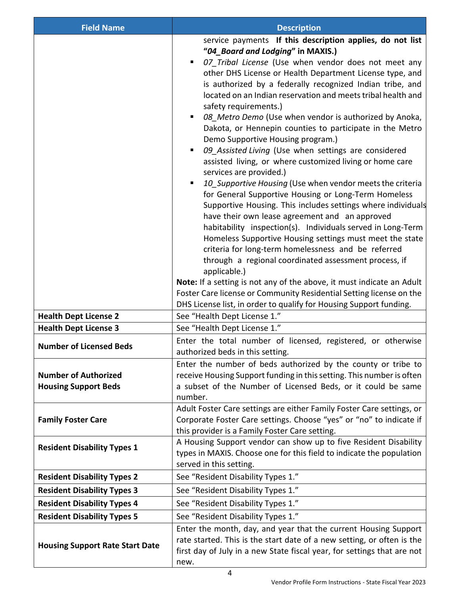| <b>Field Name</b>                                          | <b>Description</b>                                                                                                                                                                                                                                                                                                                                                                                                                                                                                                                                                                                                                                                                                                                                                                                                                                                                                                                                                                                                                                                                                                                                                                                                                                                                                                                                                                                              |
|------------------------------------------------------------|-----------------------------------------------------------------------------------------------------------------------------------------------------------------------------------------------------------------------------------------------------------------------------------------------------------------------------------------------------------------------------------------------------------------------------------------------------------------------------------------------------------------------------------------------------------------------------------------------------------------------------------------------------------------------------------------------------------------------------------------------------------------------------------------------------------------------------------------------------------------------------------------------------------------------------------------------------------------------------------------------------------------------------------------------------------------------------------------------------------------------------------------------------------------------------------------------------------------------------------------------------------------------------------------------------------------------------------------------------------------------------------------------------------------|
|                                                            | service payments If this description applies, do not list<br>"04_Board and Lodging" in MAXIS.)<br>07 Tribal License (Use when vendor does not meet any<br>other DHS License or Health Department License type, and<br>is authorized by a federally recognized Indian tribe, and<br>located on an Indian reservation and meets tribal health and<br>safety requirements.)<br>08 Metro Demo (Use when vendor is authorized by Anoka,<br>Dakota, or Hennepin counties to participate in the Metro<br>Demo Supportive Housing program.)<br>09_Assisted Living (Use when settings are considered<br>٠<br>assisted living, or where customized living or home care<br>services are provided.)<br>10_Supportive Housing (Use when vendor meets the criteria<br>for General Supportive Housing or Long-Term Homeless<br>Supportive Housing. This includes settings where individuals<br>have their own lease agreement and an approved<br>habitability inspection(s). Individuals served in Long-Term<br>Homeless Supportive Housing settings must meet the state<br>criteria for long-term homelessness and be referred<br>through a regional coordinated assessment process, if<br>applicable.)<br>Note: If a setting is not any of the above, it must indicate an Adult<br>Foster Care license or Community Residential Setting license on the<br>DHS License list, in order to qualify for Housing Support funding. |
| <b>Health Dept License 2</b>                               | See "Health Dept License 1."                                                                                                                                                                                                                                                                                                                                                                                                                                                                                                                                                                                                                                                                                                                                                                                                                                                                                                                                                                                                                                                                                                                                                                                                                                                                                                                                                                                    |
| <b>Health Dept License 3</b>                               | See "Health Dept License 1."                                                                                                                                                                                                                                                                                                                                                                                                                                                                                                                                                                                                                                                                                                                                                                                                                                                                                                                                                                                                                                                                                                                                                                                                                                                                                                                                                                                    |
| <b>Number of Licensed Beds</b>                             | Enter the total number of licensed, registered, or otherwise<br>authorized beds in this setting.                                                                                                                                                                                                                                                                                                                                                                                                                                                                                                                                                                                                                                                                                                                                                                                                                                                                                                                                                                                                                                                                                                                                                                                                                                                                                                                |
| <b>Number of Authorized</b><br><b>Housing Support Beds</b> | Enter the number of beds authorized by the county or tribe to<br>receive Housing Support funding in this setting. This number is often<br>a subset of the Number of Licensed Beds, or it could be same<br>number.                                                                                                                                                                                                                                                                                                                                                                                                                                                                                                                                                                                                                                                                                                                                                                                                                                                                                                                                                                                                                                                                                                                                                                                               |
| <b>Family Foster Care</b>                                  | Adult Foster Care settings are either Family Foster Care settings, or<br>Corporate Foster Care settings. Choose "yes" or "no" to indicate if<br>this provider is a Family Foster Care setting.                                                                                                                                                                                                                                                                                                                                                                                                                                                                                                                                                                                                                                                                                                                                                                                                                                                                                                                                                                                                                                                                                                                                                                                                                  |
| <b>Resident Disability Types 1</b>                         | A Housing Support vendor can show up to five Resident Disability<br>types in MAXIS. Choose one for this field to indicate the population<br>served in this setting.                                                                                                                                                                                                                                                                                                                                                                                                                                                                                                                                                                                                                                                                                                                                                                                                                                                                                                                                                                                                                                                                                                                                                                                                                                             |
| <b>Resident Disability Types 2</b>                         | See "Resident Disability Types 1."                                                                                                                                                                                                                                                                                                                                                                                                                                                                                                                                                                                                                                                                                                                                                                                                                                                                                                                                                                                                                                                                                                                                                                                                                                                                                                                                                                              |
| <b>Resident Disability Types 3</b>                         | See "Resident Disability Types 1."                                                                                                                                                                                                                                                                                                                                                                                                                                                                                                                                                                                                                                                                                                                                                                                                                                                                                                                                                                                                                                                                                                                                                                                                                                                                                                                                                                              |
| <b>Resident Disability Types 4</b>                         | See "Resident Disability Types 1."                                                                                                                                                                                                                                                                                                                                                                                                                                                                                                                                                                                                                                                                                                                                                                                                                                                                                                                                                                                                                                                                                                                                                                                                                                                                                                                                                                              |
| <b>Resident Disability Types 5</b>                         | See "Resident Disability Types 1."                                                                                                                                                                                                                                                                                                                                                                                                                                                                                                                                                                                                                                                                                                                                                                                                                                                                                                                                                                                                                                                                                                                                                                                                                                                                                                                                                                              |
| <b>Housing Support Rate Start Date</b>                     | Enter the month, day, and year that the current Housing Support<br>rate started. This is the start date of a new setting, or often is the<br>first day of July in a new State fiscal year, for settings that are not<br>new.                                                                                                                                                                                                                                                                                                                                                                                                                                                                                                                                                                                                                                                                                                                                                                                                                                                                                                                                                                                                                                                                                                                                                                                    |